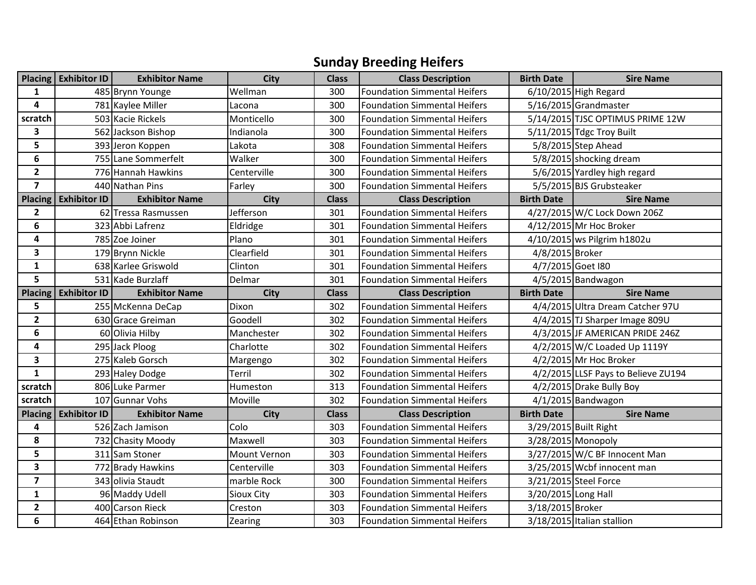## **Sunday Breeding Heifers**

|                         | Placing Exhibitor ID | <b>Exhibitor Name</b> | <b>City</b>  | <b>Class</b> | <b>Class Description</b>            | <b>Birth Date</b>   | <b>Sire Name</b>                    |
|-------------------------|----------------------|-----------------------|--------------|--------------|-------------------------------------|---------------------|-------------------------------------|
| 1                       |                      | 485 Brynn Younge      | Wellman      | 300          | <b>Foundation Simmental Heifers</b> |                     | 6/10/2015 High Regard               |
| 4                       |                      | 781 Kaylee Miller     | Lacona       | 300          | <b>Foundation Simmental Heifers</b> |                     | 5/16/2015 Grandmaster               |
| scratch                 |                      | 503 Kacie Rickels     | Monticello   | 300          | <b>Foundation Simmental Heifers</b> |                     | 5/14/2015 TJSC OPTIMUS PRIME 12W    |
| 3                       |                      | 562 Jackson Bishop    | Indianola    | 300          | <b>Foundation Simmental Heifers</b> |                     | 5/11/2015 Tdgc Troy Built           |
| 5                       |                      | 393 Jeron Koppen      | Lakota       | 308          | <b>Foundation Simmental Heifers</b> |                     | 5/8/2015 Step Ahead                 |
| 6                       |                      | 755 Lane Sommerfelt   | Walker       | 300          | <b>Foundation Simmental Heifers</b> |                     | 5/8/2015 shocking dream             |
| $\overline{2}$          |                      | 776 Hannah Hawkins    | Centerville  | 300          | <b>Foundation Simmental Heifers</b> |                     | 5/6/2015 Yardley high regard        |
| $\overline{\mathbf{z}}$ |                      | 440 Nathan Pins       | Farley       | 300          | <b>Foundation Simmental Heifers</b> |                     | 5/5/2015 BJS Grubsteaker            |
| <b>Placing</b>          | <b>Exhibitor ID</b>  | <b>Exhibitor Name</b> | <b>City</b>  | <b>Class</b> | <b>Class Description</b>            | <b>Birth Date</b>   | <b>Sire Name</b>                    |
| $\mathbf{2}$            |                      | 62 Tressa Rasmussen   | Jefferson    | 301          | <b>Foundation Simmental Heifers</b> |                     | 4/27/2015 W/C Lock Down 206Z        |
| 6                       |                      | 323 Abbi Lafrenz      | Eldridge     | 301          | <b>Foundation Simmental Heifers</b> |                     | 4/12/2015 Mr Hoc Broker             |
| 4                       |                      | 785 Zoe Joiner        | Plano        | 301          | <b>Foundation Simmental Heifers</b> |                     | 4/10/2015 ws Pilgrim h1802u         |
| 3                       |                      | 179 Brynn Nickle      | Clearfield   | 301          | <b>Foundation Simmental Heifers</b> | 4/8/2015 Broker     |                                     |
| $\mathbf{1}$            |                      | 638 Karlee Griswold   | Clinton      | 301          | <b>Foundation Simmental Heifers</b> | 4/7/2015 Goet I80   |                                     |
| 5                       |                      | 531 Kade Burzlaff     | Delmar       | 301          | <b>Foundation Simmental Heifers</b> |                     | 4/5/2015 Bandwagon                  |
| <b>Placing</b>          | <b>Exhibitor ID</b>  | <b>Exhibitor Name</b> | <b>City</b>  | <b>Class</b> | <b>Class Description</b>            | <b>Birth Date</b>   | <b>Sire Name</b>                    |
| 5                       |                      | 255 McKenna DeCap     | Dixon        | 302          | <b>Foundation Simmental Heifers</b> |                     | 4/4/2015 Ultra Dream Catcher 97U    |
| $\overline{\mathbf{2}}$ |                      | 630 Grace Greiman     | Goodell      | 302          | Foundation Simmental Heifers        |                     | 4/4/2015 TJ Sharper Image 809U      |
| 6                       |                      | 60 Olivia Hilby       | Manchester   | 302          | <b>Foundation Simmental Heifers</b> |                     | 4/3/2015 JF AMERICAN PRIDE 246Z     |
| 4                       |                      | 295 Jack Ploog        | Charlotte    | 302          | <b>Foundation Simmental Heifers</b> |                     | 4/2/2015 W/C Loaded Up 1119Y        |
| $\overline{\mathbf{3}}$ |                      | 275 Kaleb Gorsch      | Margengo     | 302          | <b>Foundation Simmental Heifers</b> |                     | 4/2/2015 Mr Hoc Broker              |
| $\mathbf{1}$            |                      | 293 Haley Dodge       | Terril       | 302          | <b>Foundation Simmental Heifers</b> |                     | 4/2/2015 LLSF Pays to Believe ZU194 |
| scratch                 |                      | 806 Luke Parmer       | Humeston     | 313          | <b>Foundation Simmental Heifers</b> |                     | 4/2/2015 Drake Bully Boy            |
| scratch                 |                      | 107 Gunnar Vohs       | Moville      | 302          | <b>Foundation Simmental Heifers</b> |                     | $4/1/2015$ Bandwagon                |
| <b>Placing</b>          | <b>Exhibitor ID</b>  | <b>Exhibitor Name</b> | <b>City</b>  | <b>Class</b> | <b>Class Description</b>            | <b>Birth Date</b>   | <b>Sire Name</b>                    |
| 4                       |                      | 526 Zach Jamison      | Colo         | 303          | <b>Foundation Simmental Heifers</b> |                     | 3/29/2015 Built Right               |
| 8                       |                      | 732 Chasity Moody     | Maxwell      | 303          | <b>Foundation Simmental Heifers</b> |                     | 3/28/2015 Monopoly                  |
| 5                       |                      | 311 Sam Stoner        | Mount Vernon | 303          | <b>Foundation Simmental Heifers</b> |                     | 3/27/2015 W/C BF Innocent Man       |
| 3                       |                      | 772 Brady Hawkins     | Centerville  | 303          | <b>Foundation Simmental Heifers</b> |                     | 3/25/2015 Wcbf innocent man         |
| $\overline{\mathbf{z}}$ |                      | 343 olivia Staudt     | marble Rock  | 300          | <b>Foundation Simmental Heifers</b> |                     | 3/21/2015 Steel Force               |
| $\mathbf{1}$            |                      | 96 Maddy Udell        | Sioux City   | 303          | <b>Foundation Simmental Heifers</b> | 3/20/2015 Long Hall |                                     |
| $\mathbf{2}$            |                      | 400 Carson Rieck      | Creston      | 303          | <b>Foundation Simmental Heifers</b> | 3/18/2015 Broker    |                                     |
| 6                       |                      | 464 Ethan Robinson    | Zearing      | 303          | <b>Foundation Simmental Heifers</b> |                     | 3/18/2015 Italian stallion          |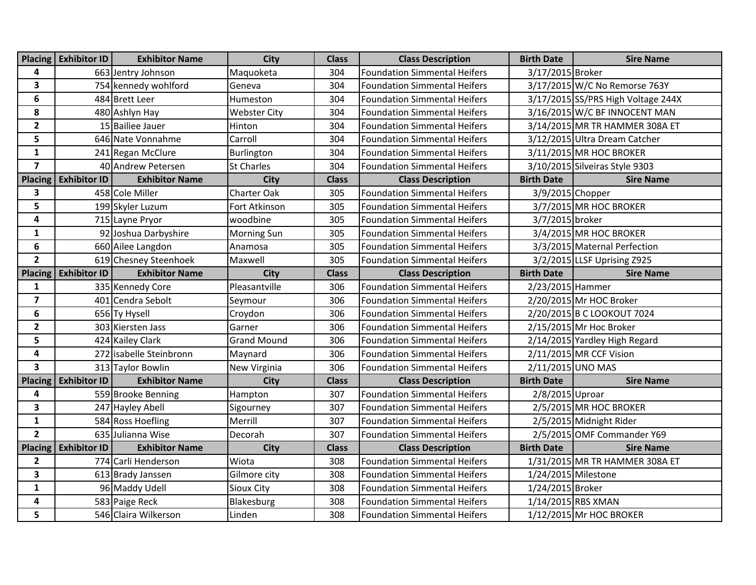| <b>Placing</b>          | <b>Exhibitor ID</b> | <b>Exhibitor Name</b>   | <b>City</b>         | <b>Class</b> | <b>Class Description</b>            | <b>Birth Date</b>   | <b>Sire Name</b>                   |
|-------------------------|---------------------|-------------------------|---------------------|--------------|-------------------------------------|---------------------|------------------------------------|
| 4                       |                     | 663 Jentry Johnson      | Maquoketa           | 304          | <b>Foundation Simmental Heifers</b> | 3/17/2015 Broker    |                                    |
| 3                       |                     | 754 kennedy wohlford    | Geneva              | 304          | <b>Foundation Simmental Heifers</b> |                     | 3/17/2015 W/C No Remorse 763Y      |
| 6                       |                     | 484 Brett Leer          | Humeston            | 304          | <b>Foundation Simmental Heifers</b> |                     | 3/17/2015 SS/PRS High Voltage 244X |
| 8                       |                     | 480 Ashlyn Hay          | <b>Webster City</b> | 304          | Foundation Simmental Heifers        |                     | $3/16/2015$ W/C BF INNOCENT MAN    |
| $\overline{2}$          |                     | 15 Bailiee Jauer        | Hinton              | 304          | <b>Foundation Simmental Heifers</b> |                     | 3/14/2015 MR TR HAMMER 308A ET     |
| 5                       |                     | 646 Nate Vonnahme       | Carroll             | 304          | <b>Foundation Simmental Heifers</b> |                     | 3/12/2015 Ultra Dream Catcher      |
| $\mathbf{1}$            |                     | 241 Regan McClure       | Burlington          | 304          | <b>Foundation Simmental Heifers</b> |                     | 3/11/2015 MR HOC BROKER            |
| $\overline{\mathbf{z}}$ |                     | 40 Andrew Petersen      | <b>St Charles</b>   | 304          | <b>Foundation Simmental Heifers</b> |                     | 3/10/2015 Silveiras Style 9303     |
| <b>Placing</b>          | <b>Exhibitor ID</b> | <b>Exhibitor Name</b>   | City                | <b>Class</b> | <b>Class Description</b>            | <b>Birth Date</b>   | <b>Sire Name</b>                   |
| 3                       |                     | 458 Cole Miller         | <b>Charter Oak</b>  | 305          | <b>Foundation Simmental Heifers</b> | 3/9/2015 Chopper    |                                    |
| 5                       |                     | 199 Skyler Luzum        | Fort Atkinson       | 305          | <b>Foundation Simmental Heifers</b> |                     | 3/7/2015 MR HOC BROKER             |
| 4                       |                     | 715 Layne Pryor         | woodbine            | 305          | <b>Foundation Simmental Heifers</b> | 3/7/2015 broker     |                                    |
| $\mathbf{1}$            |                     | 92 Joshua Darbyshire    | <b>Morning Sun</b>  | 305          | <b>Foundation Simmental Heifers</b> |                     | 3/4/2015 MR HOC BROKER             |
| $\boldsymbol{6}$        |                     | 660 Ailee Langdon       | Anamosa             | 305          | <b>Foundation Simmental Heifers</b> |                     | 3/3/2015 Maternal Perfection       |
| $\overline{2}$          |                     | 619 Chesney Steenhoek   | Maxwell             | 305          | <b>Foundation Simmental Heifers</b> |                     | 3/2/2015 LLSF Uprising Z925        |
| <b>Placing</b>          | <b>Exhibitor ID</b> | <b>Exhibitor Name</b>   | <b>City</b>         | <b>Class</b> | <b>Class Description</b>            | <b>Birth Date</b>   | <b>Sire Name</b>                   |
| 1                       |                     | 335 Kennedy Core        | Pleasantville       | 306          | <b>Foundation Simmental Heifers</b> | 2/23/2015 Hammer    |                                    |
| $\overline{\mathbf{z}}$ |                     | 401 Cendra Sebolt       | Seymour             | 306          | <b>Foundation Simmental Heifers</b> |                     | 2/20/2015 Mr HOC Broker            |
| 6                       |                     | 656 Ty Hysell           | Croydon             | 306          | <b>Foundation Simmental Heifers</b> |                     | 2/20/2015 B C LOOKOUT 7024         |
| $\mathbf{2}$            |                     | 303 Kiersten Jass       | Garner              | 306          | <b>Foundation Simmental Heifers</b> |                     | 2/15/2015 Mr Hoc Broker            |
| 5                       |                     | 424 Kailey Clark        | <b>Grand Mound</b>  | 306          | <b>Foundation Simmental Heifers</b> |                     | 2/14/2015 Yardley High Regard      |
| 4                       |                     | 272 isabelle Steinbronn | Maynard             | 306          | <b>Foundation Simmental Heifers</b> |                     | 2/11/2015 MR CCF Vision            |
| $\overline{\mathbf{3}}$ |                     | 313 Taylor Bowlin       | New Virginia        | 306          | <b>Foundation Simmental Heifers</b> | 2/11/2015 UNO MAS   |                                    |
| Placing                 | <b>Exhibitor ID</b> | <b>Exhibitor Name</b>   | <b>City</b>         | <b>Class</b> | <b>Class Description</b>            | <b>Birth Date</b>   | <b>Sire Name</b>                   |
| 4                       |                     | 559 Brooke Benning      | Hampton             | 307          | <b>Foundation Simmental Heifers</b> | 2/8/2015 Uproar     |                                    |
| $\overline{\mathbf{3}}$ |                     | 247 Hayley Abell        | Sigourney           | 307          | <b>Foundation Simmental Heifers</b> |                     | 2/5/2015 MR HOC BROKER             |
| $\mathbf{1}$            |                     | 584 Ross Hoefling       | Merrill             | 307          | <b>Foundation Simmental Heifers</b> |                     | 2/5/2015 Midnight Rider            |
| $\overline{2}$          |                     | 635 Julianna Wise       | Decorah             | 307          | <b>Foundation Simmental Heifers</b> |                     | 2/5/2015 OMF Commander Y69         |
| <b>Placing</b>          | <b>Exhibitor ID</b> | <b>Exhibitor Name</b>   | <b>City</b>         | <b>Class</b> | <b>Class Description</b>            | <b>Birth Date</b>   | <b>Sire Name</b>                   |
| $\mathbf{2}$            |                     | 774 Carli Henderson     | Wiota               | 308          | <b>Foundation Simmental Heifers</b> |                     | 1/31/2015 MR TR HAMMER 308A ET     |
| $\overline{\mathbf{3}}$ |                     | 613 Brady Janssen       | Gilmore city        | 308          | <b>Foundation Simmental Heifers</b> | 1/24/2015 Milestone |                                    |
| 1                       |                     | 96 Maddy Udell          | Sioux City          | 308          | <b>Foundation Simmental Heifers</b> | 1/24/2015 Broker    |                                    |
| 4                       |                     | 583 Paige Reck          | Blakesburg          | 308          | <b>Foundation Simmental Heifers</b> | 1/14/2015 RBS XMAN  |                                    |
| 5                       |                     | 546 Claira Wilkerson    | Linden              | 308          | <b>Foundation Simmental Heifers</b> |                     | 1/12/2015 Mr HOC BROKER            |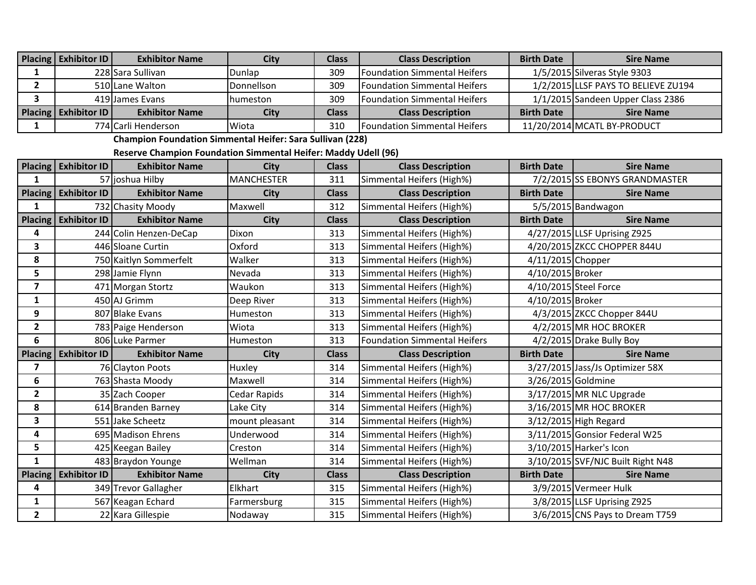| Placing   Exhibitor ID | <b>Exhibitor Name</b> | City              | Class        | <b>Class Description</b>             | <b>Birth Date</b> | <b>Sire Name</b>                    |
|------------------------|-----------------------|-------------------|--------------|--------------------------------------|-------------------|-------------------------------------|
|                        | 228 Sara Sullivan     | Dunlap            | 309          | <b>Foundation Simmental Heifers</b>  |                   | 1/5/2015 Silveras Style 9303        |
|                        | 510 Lane Walton       | Donnellson        | 309          | <b>Foundation Simmental Heifers</b>  |                   | 1/2/2015 LLSF PAYS TO BELIEVE ZU194 |
|                        | 419 James Evans       | <b>I</b> humeston | 309          | <b>Foundation Simmental Heifers</b>  |                   | 1/1/2015 Sandeen Upper Class 2386   |
| Placing   Exhibitor ID | <b>Exhibitor Name</b> | City              | <b>Class</b> | <b>Class Description</b>             | <b>Birth Date</b> | <b>Sire Name</b>                    |
|                        | 774 Carli Henderson   | Wiota             | 310          | <b>IFoundation Simmental Heifers</b> |                   | 11/20/2014 MCATL BY-PRODUCT         |

**Champion Foundation Simmental Heifer: Sara Sullivan (228)**

**Reserve Champion Foundation Simmental Heifer: Maddy Udell (96)**

|                | Placing Exhibitor ID   | <b>Exhibitor Name</b>  | <b>City</b>       | <b>Class</b> | <b>Class Description</b>            | <b>Birth Date</b>  | <b>Sire Name</b>                  |
|----------------|------------------------|------------------------|-------------------|--------------|-------------------------------------|--------------------|-----------------------------------|
| 1              |                        | 57 joshua Hilby        | <b>MANCHESTER</b> | 311          | Simmental Heifers (High%)           |                    | 7/2/2015 SS EBONYS GRANDMASTER    |
| Placing        | <b>Exhibitor ID</b>    | <b>Exhibitor Name</b>  | <b>City</b>       | <b>Class</b> | <b>Class Description</b>            | <b>Birth Date</b>  | <b>Sire Name</b>                  |
| 1              |                        | 732 Chasity Moody      | Maxwell           | 312          | Simmental Heifers (High%)           |                    | 5/5/2015 Bandwagon                |
| <b>Placing</b> | <b>Exhibitor ID</b>    | <b>Exhibitor Name</b>  | <b>City</b>       | <b>Class</b> | <b>Class Description</b>            | <b>Birth Date</b>  | <b>Sire Name</b>                  |
| 4              |                        | 244 Colin Henzen-DeCap | Dixon             | 313          | Simmental Heifers (High%)           |                    | 4/27/2015 LLSF Uprising Z925      |
| 3              |                        | 446 Sloane Curtin      | Oxford            | 313          | Simmental Heifers (High%)           |                    | 4/20/2015 ZKCC CHOPPER 844U       |
| 8              |                        | 750 Kaitlyn Sommerfelt | Walker            | 313          | Simmental Heifers (High%)           | 4/11/2015 Chopper  |                                   |
| 5              |                        | 298 Jamie Flynn        | Nevada            | 313          | Simmental Heifers (High%)           | 4/10/2015 Broker   |                                   |
| $\overline{ }$ |                        | 471 Morgan Stortz      | Waukon            | 313          | Simmental Heifers (High%)           |                    | 4/10/2015 Steel Force             |
| 1              |                        | 450 AJ Grimm           | Deep River        | 313          | Simmental Heifers (High%)           | 4/10/2015 Broker   |                                   |
| 9              |                        | 807 Blake Evans        | Humeston          | 313          | Simmental Heifers (High%)           |                    | 4/3/2015 ZKCC Chopper 844U        |
| $\mathbf{2}$   |                        | 783 Paige Henderson    | Wiota             | 313          | Simmental Heifers (High%)           |                    | 4/2/2015 MR HOC BROKER            |
| 6              |                        | 806 Luke Parmer        | Humeston          | 313          | <b>Foundation Simmental Heifers</b> |                    | 4/2/2015 Drake Bully Boy          |
| <b>Placing</b> | <b>Exhibitor ID</b>    | <b>Exhibitor Name</b>  | City              | <b>Class</b> | <b>Class Description</b>            | <b>Birth Date</b>  | <b>Sire Name</b>                  |
| 7              |                        | 76 Clayton Poots       | Huxley            | 314          | Simmental Heifers (High%)           |                    | 3/27/2015 Jass/Js Optimizer 58X   |
| 6              |                        | 763 Shasta Moody       | Maxwell           | 314          | Simmental Heifers (High%)           | 3/26/2015 Goldmine |                                   |
| $\overline{2}$ |                        | 35 Zach Cooper         | Cedar Rapids      | 314          | Simmental Heifers (High%)           |                    | 3/17/2015 MR NLC Upgrade          |
| 8              |                        | 614 Branden Barney     | Lake City         | 314          | Simmental Heifers (High%)           |                    | 3/16/2015 MR HOC BROKER           |
| 3              |                        | 551 Jake Scheetz       | mount pleasant    | 314          | Simmental Heifers (High%)           |                    | 3/12/2015 High Regard             |
| 4              |                        | 695 Madison Ehrens     | Underwood         | 314          | Simmental Heifers (High%)           |                    | 3/11/2015 Gonsior Federal W25     |
| 5              |                        | 425 Keegan Bailey      | Creston           | 314          | Simmental Heifers (High%)           |                    | 3/10/2015 Harker's Icon           |
| $\mathbf{1}$   |                        | 483 Braydon Younge     | Wellman           | 314          | Simmental Heifers (High%)           |                    | 3/10/2015 SVF/NJC Built Right N48 |
|                | Placing   Exhibitor ID | <b>Exhibitor Name</b>  | <b>City</b>       | <b>Class</b> | <b>Class Description</b>            | <b>Birth Date</b>  | <b>Sire Name</b>                  |
| 4              |                        | 349 Trevor Gallagher   | Elkhart           | 315          | Simmental Heifers (High%)           |                    | 3/9/2015 Vermeer Hulk             |
| 1              |                        | 567 Keagan Echard      | Farmersburg       | 315          | Simmental Heifers (High%)           |                    | 3/8/2015 LLSF Uprising Z925       |
| $\mathbf{2}$   |                        | 22 Kara Gillespie      | Nodaway           | 315          | Simmental Heifers (High%)           |                    | 3/6/2015 CNS Pays to Dream T759   |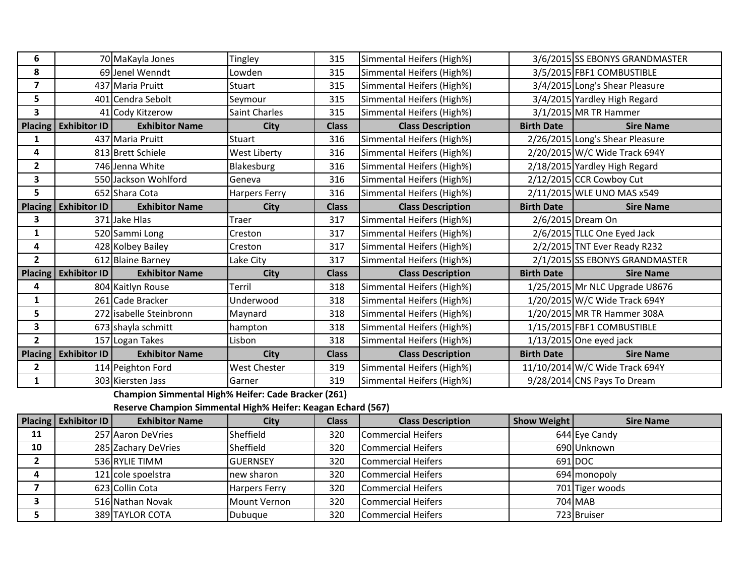| 6              |                        | 70 MaKayla Jones        | Tingley              | 315          | Simmental Heifers (High%) |                   | 3/6/2015 SS EBONYS GRANDMASTER  |
|----------------|------------------------|-------------------------|----------------------|--------------|---------------------------|-------------------|---------------------------------|
| 8              |                        | 69 Jenel Wenndt         | Lowden               | 315          | Simmental Heifers (High%) |                   | 3/5/2015 FBF1 COMBUSTIBLE       |
| 7              |                        | 437 Maria Pruitt        | Stuart               | 315          | Simmental Heifers (High%) |                   | 3/4/2015 Long's Shear Pleasure  |
| 5              |                        | 401 Cendra Sebolt       | Seymour              | 315          | Simmental Heifers (High%) |                   | 3/4/2015 Yardley High Regard    |
| 3              |                        | 41 Cody Kitzerow        | <b>Saint Charles</b> | 315          | Simmental Heifers (High%) |                   | 3/1/2015 MR TR Hammer           |
| <b>Placing</b> | <b>Exhibitor ID</b>    | <b>Exhibitor Name</b>   | <b>City</b>          | <b>Class</b> | <b>Class Description</b>  | <b>Birth Date</b> | <b>Sire Name</b>                |
|                |                        | 437 Maria Pruitt        | Stuart               | 316          | Simmental Heifers (High%) |                   | 2/26/2015 Long's Shear Pleasure |
| 4              |                        | 813 Brett Schiele       | West Liberty         | 316          | Simmental Heifers (High%) |                   | 2/20/2015 W/C Wide Track 694Y   |
| $\mathbf{2}$   |                        | 746 Jenna White         | Blakesburg           | 316          | Simmental Heifers (High%) |                   | 2/18/2015 Yardley High Regard   |
| 3              |                        | 550 Jackson Wohlford    | Geneva               | 316          | Simmental Heifers (High%) |                   | 2/12/2015 CCR Cowboy Cut        |
| 5              |                        | 652 Shara Cota          | <b>Harpers Ferry</b> | 316          | Simmental Heifers (High%) |                   | 2/11/2015 WLE UNO MAS x549      |
| <b>Placing</b> | Exhibitor ID           | <b>Exhibitor Name</b>   | <b>City</b>          | <b>Class</b> | <b>Class Description</b>  | <b>Birth Date</b> | <b>Sire Name</b>                |
| 3              |                        | 371 Jake Hlas           | Traer                | 317          | Simmental Heifers (High%) |                   | 2/6/2015 Dream On               |
| 1              |                        | 520 Sammi Long          | Creston              | 317          | Simmental Heifers (High%) |                   | 2/6/2015 TLLC One Eyed Jack     |
| 4              |                        | 428 Kolbey Bailey       | Creston              | 317          | Simmental Heifers (High%) |                   | 2/2/2015 TNT Ever Ready R232    |
| $\mathbf{2}$   |                        | 612 Blaine Barney       | Lake City            | 317          | Simmental Heifers (High%) |                   | 2/1/2015 SS EBONYS GRANDMASTER  |
| Placing        | <b>Exhibitor ID</b>    | <b>Exhibitor Name</b>   | <b>City</b>          | <b>Class</b> | <b>Class Description</b>  | <b>Birth Date</b> | <b>Sire Name</b>                |
| 4              |                        | 804 Kaitlyn Rouse       | Terril               | 318          | Simmental Heifers (High%) |                   | 1/25/2015 Mr NLC Upgrade U8676  |
| 1              |                        | 261 Cade Bracker        | Underwood            | 318          | Simmental Heifers (High%) |                   | 1/20/2015 W/C Wide Track 694Y   |
| 5              |                        | 272 isabelle Steinbronn | Maynard              | 318          | Simmental Heifers (High%) |                   | 1/20/2015 MR TR Hammer 308A     |
| 3              |                        | 673 shayla schmitt      | hampton              | 318          | Simmental Heifers (High%) |                   | 1/15/2015 FBF1 COMBUSTIBLE      |
| $\mathbf{2}$   |                        | 157 Logan Takes         | Lisbon               | 318          | Simmental Heifers (High%) |                   | $1/13/2015$ One eyed jack       |
|                | Placing   Exhibitor ID | <b>Exhibitor Name</b>   | <b>City</b>          | <b>Class</b> | <b>Class Description</b>  | <b>Birth Date</b> | <b>Sire Name</b>                |
| 2              |                        | 114 Peighton Ford       | West Chester         | 319          | Simmental Heifers (High%) |                   | 11/10/2014 W/C Wide Track 694Y  |
| 1              |                        | 303 Kiersten Jass       | Garner               | 319          | Simmental Heifers (High%) |                   | 9/28/2014 CNS Pays To Dream     |

**Champion Simmental High% Heifer: Cade Bracker (261)**

**Reserve Champion Simmental High% Heifer: Keagan Echard (567)**

|    | Placing   Exhibitor ID | <b>Exhibitor Name</b> | City                 | <b>Class</b> | <b>Class Description</b>  | <b>Show Weight</b> | <b>Sire Name</b> |
|----|------------------------|-----------------------|----------------------|--------------|---------------------------|--------------------|------------------|
| 11 |                        | 257 Aaron DeVries     | Sheffield            | 320          | <b>Commercial Heifers</b> |                    | 644 Eye Candy    |
| 10 |                        | 285 Zachary DeVries   | Sheffield            | 320          | Commercial Heifers        |                    | 690 Unknown      |
|    |                        | 536 RYLIE TIMM        | <b>IGUERNSEY</b>     | 320          | <b>Commercial Heifers</b> |                    | 691 DOC          |
|    |                        | 121 cole spoelstra    | Inew sharon          | 320          | Commercial Heifers        |                    | 694 monopoly     |
|    |                        | 623 Collin Cota       | <b>Harpers Ferry</b> | 320          | Commercial Heifers        |                    | 701 Tiger woods  |
|    |                        | 516 Nathan Novak      | Mount Vernon         | 320          | <b>Commercial Heifers</b> |                    | 704 MAB          |
|    |                        | 389 TAYLOR COTA       | Dubuque              | 320          | Commercial Heifers        |                    | 723 Bruiser      |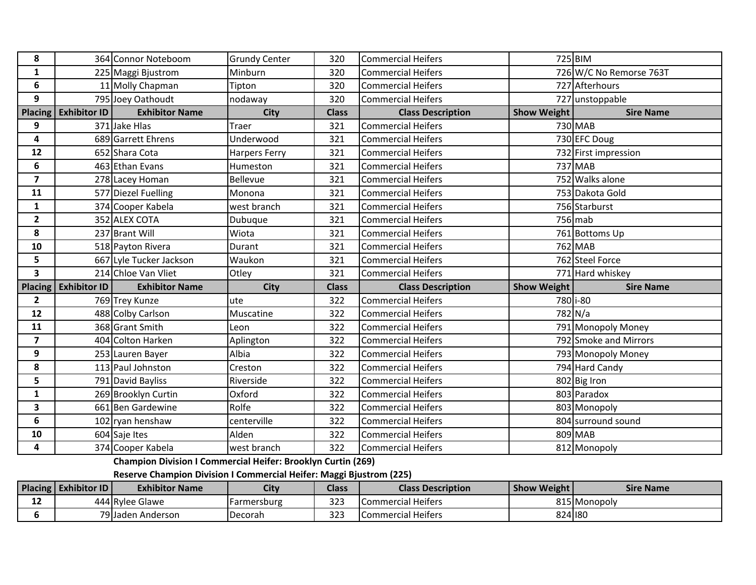| 8                       |                        | 364 Connor Noteboom     | <b>Grundy Center</b> | 320          | <b>Commercial Heifers</b> |             | 725 BIM                 |
|-------------------------|------------------------|-------------------------|----------------------|--------------|---------------------------|-------------|-------------------------|
| $\mathbf{1}$            |                        | 225 Maggi Bjustrom      | Minburn              | 320          | <b>Commercial Heifers</b> |             | 726 W/C No Remorse 763T |
| 6                       |                        | 11 Molly Chapman        | Tipton               | 320          | <b>Commercial Heifers</b> |             | 727 Afterhours          |
| 9                       |                        | 795 Joey Oathoudt       | nodaway              | 320          | <b>Commercial Heifers</b> |             | 727 unstoppable         |
| <b>Placing</b>          | Exhibitor ID           | <b>Exhibitor Name</b>   | <b>City</b>          | <b>Class</b> | <b>Class Description</b>  | Show Weight | <b>Sire Name</b>        |
| 9                       |                        | 371 Jake Hlas           | Traer                | 321          | <b>Commercial Heifers</b> |             | 730 MAB                 |
| 4                       |                        | 689 Garrett Ehrens      | <b>Jnderwood</b>     | 321          | <b>Commercial Heifers</b> |             | 730 EFC Doug            |
| 12                      |                        | 652 Shara Cota          | <b>Harpers Ferry</b> | 321          | <b>Commercial Heifers</b> |             | 732 First impression    |
| 6                       |                        | 463 Ethan Evans         | Humeston             | 321          | <b>Commercial Heifers</b> |             | 737 MAB                 |
| $\overline{\mathbf{z}}$ |                        | 278 Lacey Homan         | Bellevue             | 321          | <b>Commercial Heifers</b> |             | 752 Walks alone         |
| 11                      |                        | 577 Diezel Fuelling     | Monona               | 321          | <b>Commercial Heifers</b> |             | 753 Dakota Gold         |
| $\mathbf{1}$            |                        | 374 Cooper Kabela       | west branch          | 321          | <b>Commercial Heifers</b> |             | 756 Starburst           |
| $\overline{2}$          |                        | 352 ALEX COTA           | Dubuque              | 321          | <b>Commercial Heifers</b> |             | $756$ mab               |
| 8                       |                        | 237 Brant Will          | Wiota                | 321          | <b>Commercial Heifers</b> |             | 761 Bottoms Up          |
| 10                      |                        | 518 Payton Rivera       | Durant               | 321          | <b>Commercial Heifers</b> |             | 762 MAB                 |
| 5                       |                        | 667 Lyle Tucker Jackson | Waukon               | 321          | <b>Commercial Heifers</b> |             | 762 Steel Force         |
| 3                       |                        | 214 Chloe Van Vliet     | Otley                | 321          | <b>Commercial Heifers</b> |             | 771 Hard whiskey        |
|                         | Placing   Exhibitor ID | <b>Exhibitor Name</b>   | <b>City</b>          | <b>Class</b> | <b>Class Description</b>  | Show Weight | <b>Sire Name</b>        |
| $\mathbf{2}$            |                        | 769 Trey Kunze          | ute                  | 322          | <b>Commercial Heifers</b> |             | 780 i-80                |
| 12                      |                        | 488 Colby Carlson       | Muscatine            | 322          | <b>Commercial Heifers</b> |             | 782 N/a                 |
| 11                      |                        | 368 Grant Smith         | Leon                 | 322          | <b>Commercial Heifers</b> |             | 791 Monopoly Money      |
| $\overline{\mathbf{z}}$ |                        | 404 Colton Harken       | Aplington            | 322          | <b>Commercial Heifers</b> |             | 792 Smoke and Mirrors   |
| 9                       |                        | 253 Lauren Bayer        | Albia                | 322          | <b>Commercial Heifers</b> |             | 793 Monopoly Money      |
| 8                       |                        | 113 Paul Johnston       | Creston              | 322          | <b>Commercial Heifers</b> |             | 794 Hard Candy          |
| 5                       |                        | 791 David Bayliss       | Riverside            | 322          | <b>Commercial Heifers</b> |             | 802 Big Iron            |
| $\mathbf{1}$            |                        | 269 Brooklyn Curtin     | Oxford               | 322          | <b>Commercial Heifers</b> |             | 803 Paradox             |
| 3                       |                        | 661 Ben Gardewine       | Rolfe                | 322          | <b>Commercial Heifers</b> |             | 803 Monopoly            |
| $\boldsymbol{6}$        |                        | 102 ryan henshaw        | centerville          | 322          | <b>Commercial Heifers</b> |             | 804 surround sound      |
| 10                      |                        | 604 Saje Ites           | Alden                | 322          | <b>Commercial Heifers</b> |             | 809 MAB                 |
| 4                       |                        | 374 Cooper Kabela       | west branch          | 322          | <b>Commercial Heifers</b> |             | 812 Monopoly            |

**Champion Division I Commercial Heifer: Brooklyn Curtin (269)**

**Reserve Champion Division I Commercial Heifer: Maggi Bjustrom (225)**

|    | Placing   Exhibitor ID | <b>Exhibitor Name</b> | <b>City</b> | <b>Class</b> | <b>Class Description</b>  | <b>Show Weight</b> | <b>Sire Name</b> |
|----|------------------------|-----------------------|-------------|--------------|---------------------------|--------------------|------------------|
| -- |                        | 444 Rylee Glawe       | Farmersburg | 323          | Commercial Heifers        |                    | 815 Monopoly     |
|    |                        | 79 Jaden Anderson     | Decorah     | 323          | <b>Commercial Heifers</b> | 824 180            |                  |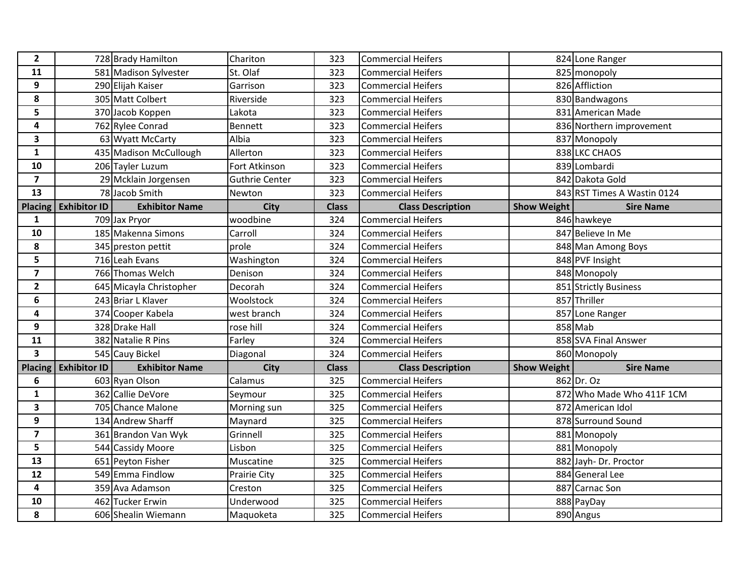| $\overline{2}$          |                     | 728 Brady Hamilton      | Chariton              | 323          | <b>Commercial Heifers</b> |                    | 824 Lone Ranger             |
|-------------------------|---------------------|-------------------------|-----------------------|--------------|---------------------------|--------------------|-----------------------------|
| 11                      |                     | 581 Madison Sylvester   | St. Olaf              | 323          | <b>Commercial Heifers</b> |                    | 825 monopoly                |
| 9                       |                     | 290 Elijah Kaiser       | Garrison              | 323          | <b>Commercial Heifers</b> |                    | 826 Affliction              |
| 8                       |                     | 305 Matt Colbert        | Riverside             | 323          | <b>Commercial Heifers</b> |                    | 830 Bandwagons              |
| 5                       |                     | 370 Jacob Koppen        | Lakota                | 323          | <b>Commercial Heifers</b> |                    | 831 American Made           |
| 4                       |                     | 762 Rylee Conrad        | Bennett               | 323          | <b>Commercial Heifers</b> |                    | 836 Northern improvement    |
| $\mathbf{3}$            |                     | 63 Wyatt McCarty        | Albia                 | 323          | <b>Commercial Heifers</b> |                    | 837 Monopoly                |
| $\mathbf{1}$            |                     | 435 Madison McCullough  | Allerton              | 323          | <b>Commercial Heifers</b> |                    | 838 LKC CHAOS               |
| 10                      |                     | 206 Tayler Luzum        | Fort Atkinson         | 323          | <b>Commercial Heifers</b> |                    | 839 Lombardi                |
| $\overline{\mathbf{z}}$ |                     | 29 Mcklain Jorgensen    | <b>Guthrie Center</b> | 323          | <b>Commercial Heifers</b> |                    | 842 Dakota Gold             |
| 13                      |                     | 78 Jacob Smith          | Newton                | 323          | <b>Commercial Heifers</b> |                    | 843 RST Times A Wastin 0124 |
| Placing                 | <b>Exhibitor ID</b> | <b>Exhibitor Name</b>   | <b>City</b>           | <b>Class</b> | <b>Class Description</b>  | Show Weight        | <b>Sire Name</b>            |
| 1                       |                     | 709 Jax Pryor           | woodbine              | 324          | <b>Commercial Heifers</b> |                    | 846 hawkeye                 |
| 10                      |                     | 185 Makenna Simons      | Carroll               | 324          | <b>Commercial Heifers</b> |                    | 847 Believe In Me           |
| 8                       |                     | 345 preston pettit      | prole                 | 324          | <b>Commercial Heifers</b> |                    | 848 Man Among Boys          |
| 5                       |                     | 716 Leah Evans          | Washington            | 324          | <b>Commercial Heifers</b> |                    | 848 PVF Insight             |
| $\overline{\mathbf{z}}$ |                     | 766 Thomas Welch        | Denison               | 324          | <b>Commercial Heifers</b> |                    | 848 Monopoly                |
| $\overline{2}$          |                     | 645 Micayla Christopher | Decorah               | 324          | <b>Commercial Heifers</b> |                    | 851 Strictly Business       |
| 6                       |                     | 243 Briar L Klaver      | Woolstock             | 324          | <b>Commercial Heifers</b> |                    | 857 Thriller                |
| 4                       |                     | 374 Cooper Kabela       | west branch           | 324          | <b>Commercial Heifers</b> |                    | 857 Lone Ranger             |
| 9                       |                     | 328 Drake Hall          | rose hill             | 324          | <b>Commercial Heifers</b> |                    | 858 Mab                     |
| 11                      |                     | 382 Natalie R Pins      | Farley                | 324          | <b>Commercial Heifers</b> |                    | 858 SVA Final Answer        |
| $\mathbf{3}$            |                     | 545 Cauy Bickel         | Diagonal              | 324          | <b>Commercial Heifers</b> |                    | 860 Monopoly                |
| <b>Placing</b>          | <b>Exhibitor ID</b> | <b>Exhibitor Name</b>   | <b>City</b>           | <b>Class</b> | <b>Class Description</b>  | <b>Show Weight</b> | <b>Sire Name</b>            |
| 6                       |                     | 603 Ryan Olson          | Calamus               | 325          | <b>Commercial Heifers</b> |                    | 862 Dr. Oz                  |
| $\mathbf{1}$            |                     | 362 Callie DeVore       | Seymour               | 325          | <b>Commercial Heifers</b> |                    | 872 Who Made Who 411F 1CM   |
| $\mathbf{3}$            |                     | 705 Chance Malone       | Morning sun           | 325          | <b>Commercial Heifers</b> |                    | 872 American Idol           |
| 9                       |                     | 134 Andrew Sharff       | Maynard               | 325          | <b>Commercial Heifers</b> |                    | 878 Surround Sound          |
| $\overline{\mathbf{z}}$ |                     | 361 Brandon Van Wyk     | Grinnell              | 325          | <b>Commercial Heifers</b> |                    | 881 Monopoly                |
| 5 <sup>1</sup>          |                     | 544 Cassidy Moore       | Lisbon                | 325          | <b>Commercial Heifers</b> |                    | 881 Monopoly                |
| 13                      |                     | 651 Peyton Fisher       | Muscatine             | 325          | <b>Commercial Heifers</b> |                    | 882 Jayh- Dr. Proctor       |
| 12                      |                     | 549 Emma Findlow        | Prairie City          | 325          | <b>Commercial Heifers</b> |                    | 884 General Lee             |
| 4                       |                     | 359 Ava Adamson         | Creston               | 325          | <b>Commercial Heifers</b> |                    | 887 Carnac Son              |
| 10                      |                     | 462 Tucker Erwin        | Underwood             | 325          | <b>Commercial Heifers</b> |                    | 888 PayDay                  |
| 8                       |                     | 606 Shealin Wiemann     | Maquoketa             | 325          | <b>Commercial Heifers</b> |                    | 890 Angus                   |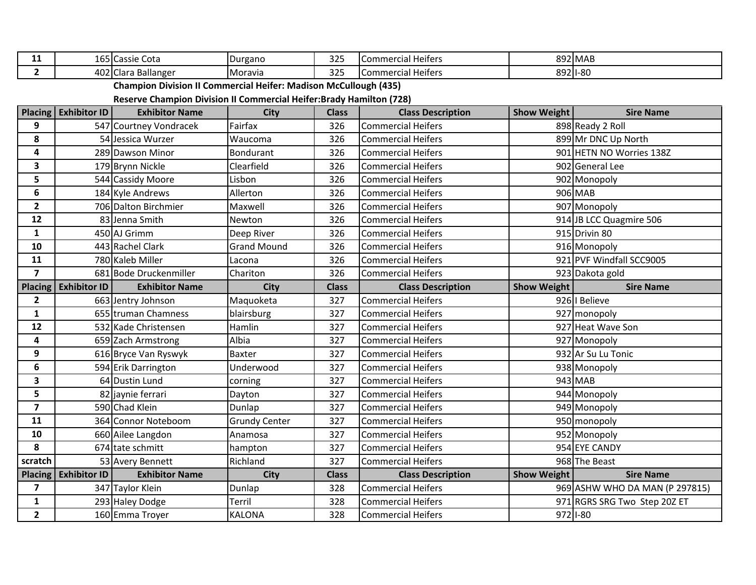| 11                      |                      | 165 Cassie Cota                                                             | Durgano              | 325          | Commercial Heifers        |                    | 892 MAB                        |
|-------------------------|----------------------|-----------------------------------------------------------------------------|----------------------|--------------|---------------------------|--------------------|--------------------------------|
| $\overline{2}$          |                      | 402 Clara Ballanger                                                         | Moravia              | 325          | <b>Commercial Heifers</b> |                    | 892 1-80                       |
|                         |                      | <b>Champion Division II Commercial Heifer: Madison McCullough (435)</b>     |                      |              |                           |                    |                                |
|                         |                      | <b>Reserve Champion Division II Commercial Heifer: Brady Hamilton (728)</b> |                      |              |                           |                    |                                |
| <b>Placing</b>          | <b>Exhibitor ID</b>  | <b>Exhibitor Name</b>                                                       | City                 | <b>Class</b> | <b>Class Description</b>  | <b>Show Weight</b> | <b>Sire Name</b>               |
| 9                       |                      | 547 Courtney Vondracek                                                      | Fairfax              | 326          | <b>Commercial Heifers</b> |                    | 898 Ready 2 Roll               |
| 8                       |                      | 54 Jessica Wurzer                                                           | Waucoma              | 326          | <b>Commercial Heifers</b> |                    | 899 Mr DNC Up North            |
| $\overline{\mathbf{4}}$ |                      | 289 Dawson Minor                                                            | <b>Bondurant</b>     | 326          | <b>Commercial Heifers</b> |                    | 901 HETN NO Worries 138Z       |
| $\mathbf{3}$            |                      | 179 Brynn Nickle                                                            | Clearfield           | 326          | <b>Commercial Heifers</b> |                    | 902 General Lee                |
| 5                       |                      | 544 Cassidy Moore                                                           | Lisbon               | 326          | <b>Commercial Heifers</b> |                    | 902 Monopoly                   |
| $\boldsymbol{6}$        |                      | 184 Kyle Andrews                                                            | Allerton             | 326          | <b>Commercial Heifers</b> |                    | 906 MAB                        |
| $\overline{2}$          |                      | 706 Dalton Birchmier                                                        | Maxwell              | 326          | <b>Commercial Heifers</b> |                    | 907 Monopoly                   |
| 12                      |                      | 83 Jenna Smith                                                              | Newton               | 326          | <b>Commercial Heifers</b> |                    | 914 JB LCC Quagmire 506        |
| $\mathbf{1}$            |                      | 450 AJ Grimm                                                                | Deep River           | 326          | <b>Commercial Heifers</b> |                    | 915 Drivin 80                  |
| 10                      |                      | 443 Rachel Clark                                                            | <b>Grand Mound</b>   | 326          | <b>Commercial Heifers</b> |                    | 916 Monopoly                   |
| 11                      |                      | 780 Kaleb Miller                                                            | Lacona               | 326          | <b>Commercial Heifers</b> |                    | 921 PVF Windfall SCC9005       |
| $\overline{\mathbf{z}}$ |                      | 681 Bode Druckenmiller                                                      | Chariton             | 326          | <b>Commercial Heifers</b> |                    | 923 Dakota gold                |
| <b>Placing</b>          | <b>Exhibitor ID</b>  | <b>Exhibitor Name</b>                                                       | <b>City</b>          | <b>Class</b> | <b>Class Description</b>  | <b>Show Weight</b> | <b>Sire Name</b>               |
| $\mathbf{2}$            |                      | 663 Jentry Johnson                                                          | Maquoketa            | 327          | <b>Commercial Heifers</b> |                    | 926   Believe                  |
| $\mathbf{1}$            |                      | 655 truman Chamness                                                         | blairsburg           | 327          | <b>Commercial Heifers</b> |                    | 927 monopoly                   |
|                         |                      |                                                                             |                      |              |                           |                    |                                |
| 12                      |                      | 532 Kade Christensen                                                        | Hamlin               | 327          | <b>Commercial Heifers</b> |                    | 927 Heat Wave Son              |
| 4                       |                      | 659 Zach Armstrong                                                          | Albia                | 327          | <b>Commercial Heifers</b> |                    | 927 Monopoly                   |
| 9                       |                      | 616 Bryce Van Ryswyk                                                        | <b>Baxter</b>        | 327          | <b>Commercial Heifers</b> |                    | 932 Ar Su Lu Tonic             |
| 6                       |                      | 594 Erik Darrington                                                         | Underwood            | 327          | <b>Commercial Heifers</b> |                    | 938 Monopoly                   |
| $\overline{\mathbf{3}}$ |                      | 64 Dustin Lund                                                              | corning              | 327          | <b>Commercial Heifers</b> |                    | $943$ MAB                      |
| 5                       |                      | 82 jaynie ferrari                                                           | Dayton               | 327          | <b>Commercial Heifers</b> |                    | 944 Monopoly                   |
| $\overline{\mathbf{z}}$ |                      | 590 Chad Klein                                                              | Dunlap               | 327          | <b>Commercial Heifers</b> |                    | 949 Monopoly                   |
| 11                      |                      | 364 Connor Noteboom                                                         | <b>Grundy Center</b> | 327          | <b>Commercial Heifers</b> |                    | 950 monopoly                   |
| 10                      |                      | 660 Ailee Langdon                                                           | Anamosa              | 327          | <b>Commercial Heifers</b> |                    | 952 Monopoly                   |
| 8                       |                      | 674 tate schmitt                                                            | hampton              | 327          | <b>Commercial Heifers</b> |                    | 954 EYE CANDY                  |
| scratch                 |                      | 53 Avery Bennett                                                            | Richland             | 327          | <b>Commercial Heifers</b> |                    | 968 The Beast                  |
|                         | Placing Exhibitor ID | <b>Exhibitor Name</b>                                                       | <b>City</b>          | <b>Class</b> | <b>Class Description</b>  | <b>Show Weight</b> | <b>Sire Name</b>               |
| $\overline{\mathbf{z}}$ |                      | 347 Taylor Klein                                                            | Dunlap               | 328          | <b>Commercial Heifers</b> |                    | 969 ASHW WHO DA MAN (P 297815) |
| $\mathbf{1}$            |                      | 293 Haley Dodge                                                             | Terril               | 328          | <b>Commercial Heifers</b> |                    | 971 RGRS SRG Two Step 20Z ET   |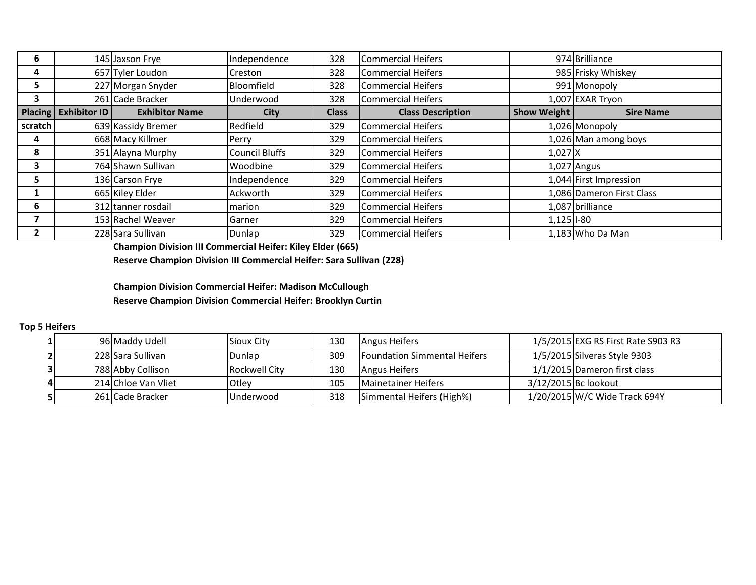| 6       |                        | 145 Jaxson Frye       | Independence          | 328          | Commercial Heifers       |                    | 974 Brilliance            |
|---------|------------------------|-----------------------|-----------------------|--------------|--------------------------|--------------------|---------------------------|
| 4       |                        | 657 Tyler Loudon      | Creston               | 328          | Commercial Heifers       |                    | 985 Frisky Whiskey        |
| 5       |                        | 227 Morgan Snyder     | Bloomfield            | 328          | Commercial Heifers       |                    | 991 Monopoly              |
| 3       |                        | 261 Cade Bracker      | Underwood             | 328          | Commercial Heifers       |                    | 1,007 EXAR Tryon          |
|         | Placing   Exhibitor ID | <b>Exhibitor Name</b> | City                  | <b>Class</b> | <b>Class Description</b> | <b>Show Weight</b> | <b>Sire Name</b>          |
| scratch |                        | 639 Kassidy Bremer    | Redfield              | 329          | Commercial Heifers       |                    | 1,026 Monopoly            |
| 4       |                        | 668 Macy Killmer      | Perry                 | 329          | Commercial Heifers       |                    | 1,026 Man among boys      |
| 8       |                        | 351 Alayna Murphy     | <b>Council Bluffs</b> | 329          | Commercial Heifers       | $1,027$ X          |                           |
| 3       |                        | 764 Shawn Sullivan    | Woodbine              | 329          | Commercial Heifers       |                    | $1,027$ Angus             |
| 5       |                        | 136 Carson Frye       | Independence          | 329          | Commercial Heifers       |                    | 1,044 First Impression    |
|         |                        | 665 Kiley Elder       | Ackworth              | 329          | Commercial Heifers       |                    | 1,086 Dameron First Class |
| 6       |                        | 312 tanner rosdail    | marion                | 329          | Commercial Heifers       |                    | 1,087 brilliance          |
|         |                        | 153 Rachel Weaver     | Garner                | 329          | Commercial Heifers       | $1,125$ I-80       |                           |
|         |                        | 228 Sara Sullivan     | Dunlap                | 329          | Commercial Heifers       |                    | 1,183 Who Da Man          |

**Champion Division III Commercial Heifer: Kiley Elder (665)**

**Reserve Champion Division III Commercial Heifer: Sara Sullivan (228)**

**Champion Division Commercial Heifer: Madison McCullough Reserve Champion Division Commercial Heifer: Brooklyn Curtin**

## **Top 5 Heifers**

|  | 96 Maddy Udell      | Sioux City    | 130 | Angus Heifers                       | 1/5/2015 EXG RS First Rate S903 R3 |
|--|---------------------|---------------|-----|-------------------------------------|------------------------------------|
|  | 228 Sara Sullivan   | Dunlap        | 309 | <b>Foundation Simmental Heifers</b> | 1/5/2015 Silveras Style 9303       |
|  | 788 Abby Collison   | Rockwell City | 130 | Angus Heifers                       | 1/1/2015 Dameron first class       |
|  | 214 Chloe Van Vliet | Otlev         | 105 | Mainetainer Heifers                 | 3/12/2015 Bc lookout               |
|  | 261 Cade Bracker    | Underwood     | 318 | Simmental Heifers (High%)           | 1/20/2015 W/C Wide Track 694Y      |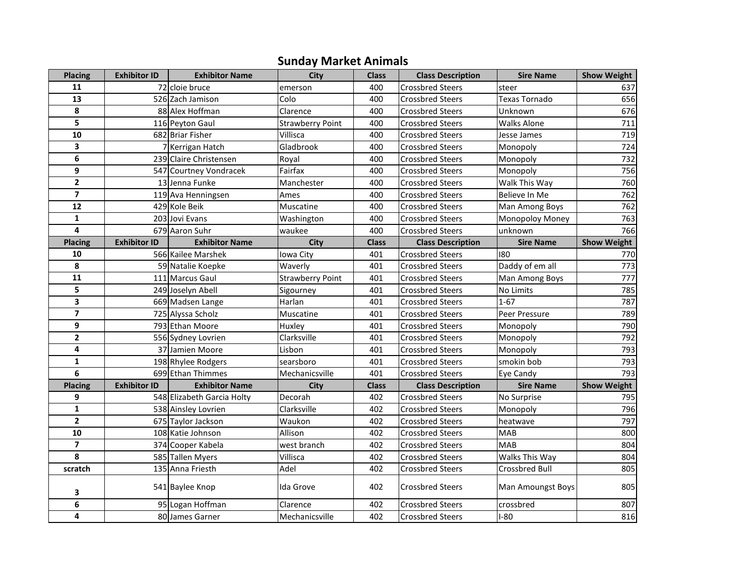## **Sunday Market Animals**

| <b>Placing</b>          | <b>Exhibitor ID</b> | <b>Exhibitor Name</b>      | <b>City</b>             | <b>Class</b> | <b>Class Description</b> | <b>Sire Name</b>      | <b>Show Weight</b> |
|-------------------------|---------------------|----------------------------|-------------------------|--------------|--------------------------|-----------------------|--------------------|
| 11                      |                     | 72 cloie bruce             | emerson                 | 400          | <b>Crossbred Steers</b>  | steer                 | 637                |
| 13                      |                     | 526 Zach Jamison           | Colo                    | 400          | <b>Crossbred Steers</b>  | <b>Texas Tornado</b>  | 656                |
| 8                       |                     | 88 Alex Hoffman            | Clarence                | 400          | <b>Crossbred Steers</b>  | Unknown               | 676                |
| $\overline{\mathbf{5}}$ |                     | 116 Peyton Gaul            | <b>Strawberry Point</b> | 400          | <b>Crossbred Steers</b>  | <b>Walks Alone</b>    | 711                |
| 10                      |                     | 682 Briar Fisher           | Villisca                | 400          | <b>Crossbred Steers</b>  | Jesse James           | 719                |
| 3                       |                     | 7 Kerrigan Hatch           | Gladbrook               | 400          | <b>Crossbred Steers</b>  | Monopoly              | 724                |
| 6                       |                     | 239 Claire Christensen     | Royal                   | 400          | <b>Crossbred Steers</b>  | Monopoly              | 732                |
| 9                       |                     | 547 Courtney Vondracek     | Fairfax                 | 400          | <b>Crossbred Steers</b>  | Monopoly              | 756                |
| $\mathbf{2}$            |                     | 13 Jenna Funke             | Manchester              | 400          | <b>Crossbred Steers</b>  | Walk This Way         | 760                |
| $\overline{\mathbf{z}}$ |                     | 119 Ava Henningsen         | Ames                    | 400          | <b>Crossbred Steers</b>  | Believe In Me         | 762                |
| 12                      |                     | 429 Kole Beik              | Muscatine               | 400          | <b>Crossbred Steers</b>  | Man Among Boys        | 762                |
| $\mathbf{1}$            |                     | 203 Jovi Evans             | Washington              | 400          | <b>Crossbred Steers</b>  | Monopoloy Money       | 763                |
| 4                       |                     | 679 Aaron Suhr             | waukee                  | 400          | <b>Crossbred Steers</b>  | unknown               | 766                |
| <b>Placing</b>          | <b>Exhibitor ID</b> | <b>Exhibitor Name</b>      | City                    | <b>Class</b> | <b>Class Description</b> | <b>Sire Name</b>      | <b>Show Weight</b> |
| 10                      |                     | 566 Kailee Marshek         | Iowa City               | 401          | <b>Crossbred Steers</b>  | 180                   | 770                |
| 8                       |                     | 59 Natalie Koepke          | Waverly                 | 401          | <b>Crossbred Steers</b>  | Daddy of em all       | 773                |
| 11                      |                     | 111 Marcus Gaul            | <b>Strawberry Point</b> | 401          | <b>Crossbred Steers</b>  | Man Among Boys        | 777                |
| 5                       |                     | 249 Joselyn Abell          | Sigourney               | 401          | <b>Crossbred Steers</b>  | No Limits             | 785                |
| 3                       |                     | 669 Madsen Lange           | Harlan                  | 401          | <b>Crossbred Steers</b>  | $1 - 67$              | 787                |
| $\overline{\mathbf{z}}$ |                     | 725 Alyssa Scholz          | Muscatine               | 401          | <b>Crossbred Steers</b>  | Peer Pressure         | 789                |
| 9                       |                     | 793 Ethan Moore            | Huxley                  | 401          | <b>Crossbred Steers</b>  | Monopoly              | 790                |
| $\mathbf{2}$            |                     | 556 Sydney Lovrien         | Clarksville             | 401          | <b>Crossbred Steers</b>  | Monopoly              | 792                |
| 4                       |                     | 37 Jamien Moore            | Lisbon                  | 401          | <b>Crossbred Steers</b>  | Monopoly              | 793                |
| $\mathbf{1}$            |                     | 198 Rhylee Rodgers         | searsboro               | 401          | <b>Crossbred Steers</b>  | smokin bob            | 793                |
| 6                       |                     | 699 Ethan Thimmes          | Mechanicsville          | 401          | <b>Crossbred Steers</b>  | Eye Candy             | 793                |
| <b>Placing</b>          | <b>Exhibitor ID</b> | <b>Exhibitor Name</b>      | City                    | <b>Class</b> | <b>Class Description</b> | <b>Sire Name</b>      | <b>Show Weight</b> |
| 9                       |                     | 548 Elizabeth Garcia Holty | Decorah                 | 402          | <b>Crossbred Steers</b>  | No Surprise           | 795                |
| $\mathbf{1}$            |                     | 538 Ainsley Lovrien        | Clarksville             | 402          | <b>Crossbred Steers</b>  | Monopoly              | 796                |
| $\overline{2}$          |                     | 675 Taylor Jackson         | Waukon                  | 402          | <b>Crossbred Steers</b>  | heatwave              | 797                |
| $\overline{10}$         |                     | 108 Katie Johnson          | Allison                 | 402          | <b>Crossbred Steers</b>  | <b>MAB</b>            | 800                |
| $\overline{ }$          |                     | 374 Cooper Kabela          | west branch             | 402          | <b>Crossbred Steers</b>  | <b>MAB</b>            | 804                |
| 8                       |                     | 585 Tallen Myers           | Villisca                | 402          | <b>Crossbred Steers</b>  | Walks This Way        | 804                |
| scratch                 |                     | 135 Anna Friesth           | Adel                    | 402          | <b>Crossbred Steers</b>  | <b>Crossbred Bull</b> | 805                |
| 3                       |                     | 541 Baylee Knop            | Ida Grove               | 402          | <b>Crossbred Steers</b>  | Man Amoungst Boys     | 805                |
| 6                       |                     | 95 Logan Hoffman           | Clarence                | 402          | <b>Crossbred Steers</b>  | crossbred             | 807                |
| 4                       |                     | 80 James Garner            | Mechanicsville          | 402          | <b>Crossbred Steers</b>  | $I-80$                | 816                |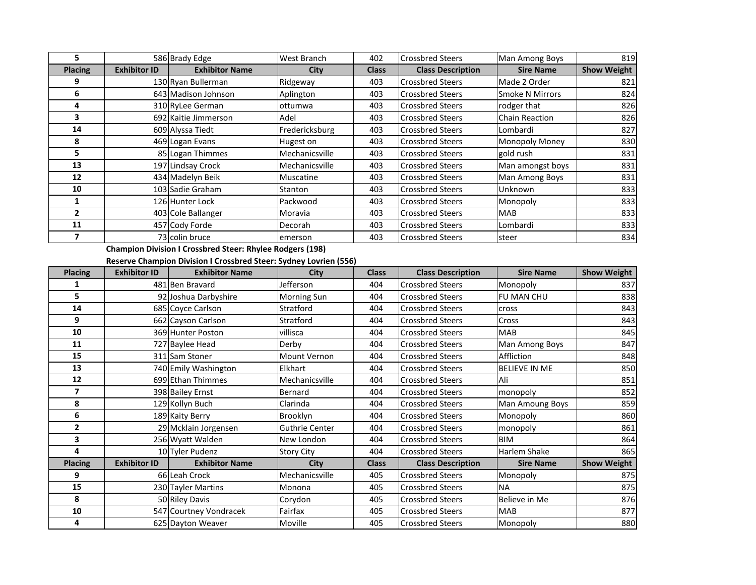| 5                       |                     | 586 Brady Edge                                                    | West Branch           | 402          | <b>Crossbred Steers</b>  | Man Among Boys         | 819                |
|-------------------------|---------------------|-------------------------------------------------------------------|-----------------------|--------------|--------------------------|------------------------|--------------------|
| <b>Placing</b>          | <b>Exhibitor ID</b> | <b>Exhibitor Name</b>                                             | City                  | <b>Class</b> | <b>Class Description</b> | <b>Sire Name</b>       | <b>Show Weight</b> |
| 9                       |                     | 130 Ryan Bullerman                                                | Ridgeway              | 403          | <b>Crossbred Steers</b>  | Made 2 Order           | 821                |
| 6                       |                     | 643 Madison Johnson                                               | Aplington             | 403          | <b>Crossbred Steers</b>  | <b>Smoke N Mirrors</b> | 824                |
| 4                       |                     | 310 RyLee German                                                  | ottumwa               | 403          | <b>Crossbred Steers</b>  | rodger that            | 826                |
| 3                       |                     | 692 Kaitie Jimmerson                                              | Adel                  | 403          | <b>Crossbred Steers</b>  | Chain Reaction         | 826                |
| 14                      |                     | 609 Alyssa Tiedt                                                  | Fredericksburg        | 403          | <b>Crossbred Steers</b>  | Lombardi               | 827                |
| 8                       |                     | 469 Logan Evans                                                   | Hugest on             | 403          | <b>Crossbred Steers</b>  | Monopoly Money         | 830                |
| 5                       |                     | 85 Logan Thimmes                                                  | Mechanicsville        | 403          | <b>Crossbred Steers</b>  | gold rush              | 831                |
| $\overline{13}$         |                     | 197 Lindsay Crock                                                 | Mechanicsville        | 403          | <b>Crossbred Steers</b>  | Man amongst boys       | 831                |
| 12                      |                     | 434 Madelyn Beik                                                  | Muscatine             | 403          | <b>Crossbred Steers</b>  | Man Among Boys         | 831                |
| 10                      |                     | 103 Sadie Graham                                                  | Stanton               | 403          | <b>Crossbred Steers</b>  | Unknown                | 833                |
| $\mathbf{1}$            |                     | 126 Hunter Lock                                                   | Packwood              | 403          | <b>Crossbred Steers</b>  | Monopoly               | 833                |
| $\overline{2}$          |                     | 403 Cole Ballanger                                                | Moravia               | 403          | <b>Crossbred Steers</b>  | <b>MAB</b>             | 833                |
| 11                      |                     | 457 Cody Forde                                                    | Decorah               | 403          | <b>Crossbred Steers</b>  | Lombardi               | 833                |
| $\overline{\mathbf{z}}$ |                     | 73 colin bruce                                                    | emerson               | 403          | <b>Crossbred Steers</b>  | steer                  | 834                |
|                         |                     | <b>Champion Division I Crossbred Steer: Rhylee Rodgers (198)</b>  |                       |              |                          |                        |                    |
|                         |                     | Reserve Champion Division I Crossbred Steer: Sydney Lovrien (556) |                       |              |                          |                        |                    |
| <b>Placing</b>          | <b>Exhibitor ID</b> | <b>Exhibitor Name</b>                                             | City                  | <b>Class</b> | <b>Class Description</b> | <b>Sire Name</b>       | <b>Show Weight</b> |
| $\mathbf{1}$            |                     | 481 Ben Bravard                                                   | Jefferson             | 404          | <b>Crossbred Steers</b>  | Monopoly               | 837                |
| 5                       |                     | 92 Joshua Darbyshire                                              | Morning Sun           | 404          | <b>Crossbred Steers</b>  | FU MAN CHU             | 838                |
| 14                      |                     | 685 Coyce Carlson                                                 | Stratford             | 404          | <b>Crossbred Steers</b>  | cross                  | 843                |
| 9                       |                     | 662 Cayson Carlson                                                | Stratford             | 404          | <b>Crossbred Steers</b>  | Cross                  | 843                |
| 10                      |                     | 369 Hunter Poston                                                 | villisca              | 404          | <b>Crossbred Steers</b>  | <b>MAB</b>             | 845                |
| 11                      |                     | 727 Baylee Head                                                   | Derby                 | 404          | <b>Crossbred Steers</b>  | Man Among Boys         | 847                |
| 15                      |                     | 311 Sam Stoner                                                    | Mount Vernon          | 404          | <b>Crossbred Steers</b>  | Affliction             | 848                |
| 13                      |                     | 740 Emily Washington                                              | Elkhart               | 404          | <b>Crossbred Steers</b>  | <b>BELIEVE IN ME</b>   | 850                |
| 12                      |                     | 699 Ethan Thimmes                                                 | Mechanicsville        | 404          | <b>Crossbred Steers</b>  | Ali                    | 851                |
| $\overline{\mathbf{z}}$ |                     | 398 Bailey Ernst                                                  | Bernard               | 404          | <b>Crossbred Steers</b>  | monopoly               | 852                |
| 8                       |                     | 129 Kollyn Buch                                                   | Clarinda              | 404          | <b>Crossbred Steers</b>  | Man Amoung Boys        | 859                |
| $6\phantom{1}6$         |                     | 189 Kaity Berry                                                   | <b>Brooklyn</b>       | 404          | <b>Crossbred Steers</b>  | Monopoly               | 860                |
| $\overline{\mathbf{2}}$ |                     | 29 Mcklain Jorgensen                                              | <b>Guthrie Center</b> | 404          | <b>Crossbred Steers</b>  | monopoly               | 861                |
| 3                       |                     | 256 Wyatt Walden                                                  | New London            | 404          | <b>Crossbred Steers</b>  | <b>BIM</b>             | 864                |
| 4                       |                     | 10 Tyler Pudenz                                                   | <b>Story City</b>     | 404          | <b>Crossbred Steers</b>  | Harlem Shake           | 865                |
| <b>Placing</b>          | <b>Exhibitor ID</b> | <b>Exhibitor Name</b>                                             | City                  | <b>Class</b> | <b>Class Description</b> | <b>Sire Name</b>       | <b>Show Weight</b> |
| 9                       |                     | 66 Leah Crock                                                     | Mechanicsville        | 405          | <b>Crossbred Steers</b>  | Monopoly               | 875                |
| 15                      |                     | 230 Tayler Martins                                                | Monona                | 405          | <b>Crossbred Steers</b>  | <b>NA</b>              | 875                |
| 8                       |                     | 50 Riley Davis                                                    | Corydon               | 405          | <b>Crossbred Steers</b>  | Believe in Me          | 876                |
| 10                      |                     | 547 Courtney Vondracek                                            | Fairfax               | 405          | <b>Crossbred Steers</b>  | MAB                    | 877                |
| 4                       |                     | 625 Dayton Weaver                                                 | Moville               | 405          | <b>Crossbred Steers</b>  | Monopoly               | 880                |

Crossbred Steers Moville 105 AMOVILLE ADS AND MONOPOLY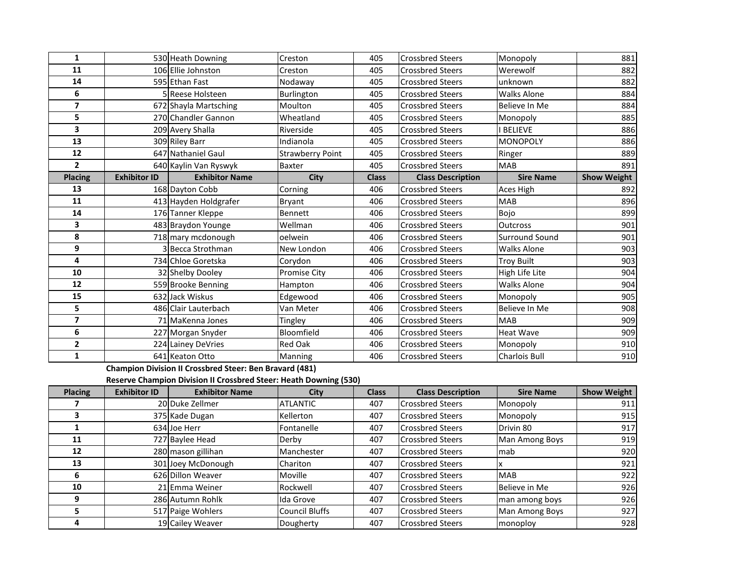| 530 Heath Downing<br>11<br>106 Ellie Johnston<br><b>Crossbred Steers</b><br>405<br>Werewolf<br>Creston<br>595 Ethan Fast<br><b>Crossbred Steers</b><br>unknown<br>14<br>Nodaway<br>405<br>6<br>Burlington<br><b>Crossbred Steers</b><br><b>Walks Alone</b><br>5 Reese Holsteen<br>405<br>$\overline{\mathbf{z}}$<br>672 Shayla Martsching<br>Moulton<br>405<br><b>Crossbred Steers</b><br>Believe In Me<br>5<br>270 Chandler Gannon<br>Wheatland<br>405<br><b>Crossbred Steers</b><br>Monopoly<br>$\overline{\mathbf{3}}$<br><b>BELIEVE</b><br>209 Avery Shalla<br>Riverside<br>405<br><b>Crossbred Steers</b><br>13<br>309 Riley Barr<br>Indianola<br>405<br><b>Crossbred Steers</b><br><b>MONOPOLY</b><br>12<br>647 Nathaniel Gaul<br><b>Strawberry Point</b><br>405<br><b>Crossbred Steers</b><br>Ringer<br>$\overline{2}$<br>640 Kaylin Van Ryswyk<br><b>Baxter</b><br>405<br><b>Crossbred Steers</b><br><b>MAB</b><br><b>Placing</b><br><b>Exhibitor ID</b><br><b>Sire Name</b><br><b>Exhibitor Name</b><br>City<br><b>Class</b><br><b>Class Description</b><br>13<br>168 Dayton Cobb<br><b>Crossbred Steers</b><br>406<br>Aces High<br>Corning<br>11<br>413 Hayden Holdgrafer<br>Bryant<br>406<br><b>Crossbred Steers</b><br><b>MAB</b><br>14<br>176 Tanner Kleppe<br>Bennett<br>406<br><b>Crossbred Steers</b><br>Bojo<br>3<br>483 Braydon Younge<br>Wellman<br>406<br><b>Crossbred Steers</b><br>Outcross<br>8<br>718 mary mcdonough<br><b>Surround Sound</b><br>oelwein<br><b>Crossbred Steers</b><br>406<br>3 Becca Strothman<br>9<br><b>Crossbred Steers</b><br><b>Walks Alone</b><br>New London<br>406<br>4<br>734 Chloe Goretska<br><b>Crossbred Steers</b><br><b>Troy Built</b><br>Corydon<br>406<br>10<br>32 Shelby Dooley<br><b>Promise City</b><br><b>Crossbred Steers</b><br>High Life Lite<br>406<br>12<br><b>Walks Alone</b><br>559 Brooke Benning<br><b>Crossbred Steers</b><br>Hampton<br>406<br>15<br>632 Jack Wiskus<br>Edgewood<br><b>Crossbred Steers</b><br>406<br>Monopoly<br>5<br>486 Clair Lauterbach<br>Van Meter<br>406<br><b>Crossbred Steers</b><br>Believe In Me |                |                  |         |     |                         |            |                    |
|-----------------------------------------------------------------------------------------------------------------------------------------------------------------------------------------------------------------------------------------------------------------------------------------------------------------------------------------------------------------------------------------------------------------------------------------------------------------------------------------------------------------------------------------------------------------------------------------------------------------------------------------------------------------------------------------------------------------------------------------------------------------------------------------------------------------------------------------------------------------------------------------------------------------------------------------------------------------------------------------------------------------------------------------------------------------------------------------------------------------------------------------------------------------------------------------------------------------------------------------------------------------------------------------------------------------------------------------------------------------------------------------------------------------------------------------------------------------------------------------------------------------------------------------------------------------------------------------------------------------------------------------------------------------------------------------------------------------------------------------------------------------------------------------------------------------------------------------------------------------------------------------------------------------------------------------------------------------------------------------------------------------------------------------------------------------------------------------------------|----------------|------------------|---------|-----|-------------------------|------------|--------------------|
|                                                                                                                                                                                                                                                                                                                                                                                                                                                                                                                                                                                                                                                                                                                                                                                                                                                                                                                                                                                                                                                                                                                                                                                                                                                                                                                                                                                                                                                                                                                                                                                                                                                                                                                                                                                                                                                                                                                                                                                                                                                                                                     | $\mathbf{1}$   |                  | Creston | 405 | <b>Crossbred Steers</b> | Monopoly   | 881                |
|                                                                                                                                                                                                                                                                                                                                                                                                                                                                                                                                                                                                                                                                                                                                                                                                                                                                                                                                                                                                                                                                                                                                                                                                                                                                                                                                                                                                                                                                                                                                                                                                                                                                                                                                                                                                                                                                                                                                                                                                                                                                                                     |                |                  |         |     |                         |            | 882                |
|                                                                                                                                                                                                                                                                                                                                                                                                                                                                                                                                                                                                                                                                                                                                                                                                                                                                                                                                                                                                                                                                                                                                                                                                                                                                                                                                                                                                                                                                                                                                                                                                                                                                                                                                                                                                                                                                                                                                                                                                                                                                                                     |                |                  |         |     |                         |            | 882                |
|                                                                                                                                                                                                                                                                                                                                                                                                                                                                                                                                                                                                                                                                                                                                                                                                                                                                                                                                                                                                                                                                                                                                                                                                                                                                                                                                                                                                                                                                                                                                                                                                                                                                                                                                                                                                                                                                                                                                                                                                                                                                                                     |                |                  |         |     |                         |            | 884                |
|                                                                                                                                                                                                                                                                                                                                                                                                                                                                                                                                                                                                                                                                                                                                                                                                                                                                                                                                                                                                                                                                                                                                                                                                                                                                                                                                                                                                                                                                                                                                                                                                                                                                                                                                                                                                                                                                                                                                                                                                                                                                                                     |                |                  |         |     |                         |            | 884                |
|                                                                                                                                                                                                                                                                                                                                                                                                                                                                                                                                                                                                                                                                                                                                                                                                                                                                                                                                                                                                                                                                                                                                                                                                                                                                                                                                                                                                                                                                                                                                                                                                                                                                                                                                                                                                                                                                                                                                                                                                                                                                                                     |                |                  |         |     |                         |            | 885                |
|                                                                                                                                                                                                                                                                                                                                                                                                                                                                                                                                                                                                                                                                                                                                                                                                                                                                                                                                                                                                                                                                                                                                                                                                                                                                                                                                                                                                                                                                                                                                                                                                                                                                                                                                                                                                                                                                                                                                                                                                                                                                                                     |                |                  |         |     |                         |            | 886                |
|                                                                                                                                                                                                                                                                                                                                                                                                                                                                                                                                                                                                                                                                                                                                                                                                                                                                                                                                                                                                                                                                                                                                                                                                                                                                                                                                                                                                                                                                                                                                                                                                                                                                                                                                                                                                                                                                                                                                                                                                                                                                                                     |                |                  |         |     |                         |            | 886                |
|                                                                                                                                                                                                                                                                                                                                                                                                                                                                                                                                                                                                                                                                                                                                                                                                                                                                                                                                                                                                                                                                                                                                                                                                                                                                                                                                                                                                                                                                                                                                                                                                                                                                                                                                                                                                                                                                                                                                                                                                                                                                                                     |                |                  |         |     |                         |            | 889                |
|                                                                                                                                                                                                                                                                                                                                                                                                                                                                                                                                                                                                                                                                                                                                                                                                                                                                                                                                                                                                                                                                                                                                                                                                                                                                                                                                                                                                                                                                                                                                                                                                                                                                                                                                                                                                                                                                                                                                                                                                                                                                                                     |                |                  |         |     |                         |            | 891                |
|                                                                                                                                                                                                                                                                                                                                                                                                                                                                                                                                                                                                                                                                                                                                                                                                                                                                                                                                                                                                                                                                                                                                                                                                                                                                                                                                                                                                                                                                                                                                                                                                                                                                                                                                                                                                                                                                                                                                                                                                                                                                                                     |                |                  |         |     |                         |            | <b>Show Weight</b> |
|                                                                                                                                                                                                                                                                                                                                                                                                                                                                                                                                                                                                                                                                                                                                                                                                                                                                                                                                                                                                                                                                                                                                                                                                                                                                                                                                                                                                                                                                                                                                                                                                                                                                                                                                                                                                                                                                                                                                                                                                                                                                                                     |                |                  |         |     |                         |            | 892                |
|                                                                                                                                                                                                                                                                                                                                                                                                                                                                                                                                                                                                                                                                                                                                                                                                                                                                                                                                                                                                                                                                                                                                                                                                                                                                                                                                                                                                                                                                                                                                                                                                                                                                                                                                                                                                                                                                                                                                                                                                                                                                                                     |                |                  |         |     |                         |            | 896                |
|                                                                                                                                                                                                                                                                                                                                                                                                                                                                                                                                                                                                                                                                                                                                                                                                                                                                                                                                                                                                                                                                                                                                                                                                                                                                                                                                                                                                                                                                                                                                                                                                                                                                                                                                                                                                                                                                                                                                                                                                                                                                                                     |                |                  |         |     |                         |            | 899                |
|                                                                                                                                                                                                                                                                                                                                                                                                                                                                                                                                                                                                                                                                                                                                                                                                                                                                                                                                                                                                                                                                                                                                                                                                                                                                                                                                                                                                                                                                                                                                                                                                                                                                                                                                                                                                                                                                                                                                                                                                                                                                                                     |                |                  |         |     |                         |            | 901                |
|                                                                                                                                                                                                                                                                                                                                                                                                                                                                                                                                                                                                                                                                                                                                                                                                                                                                                                                                                                                                                                                                                                                                                                                                                                                                                                                                                                                                                                                                                                                                                                                                                                                                                                                                                                                                                                                                                                                                                                                                                                                                                                     |                |                  |         |     |                         |            | 901                |
|                                                                                                                                                                                                                                                                                                                                                                                                                                                                                                                                                                                                                                                                                                                                                                                                                                                                                                                                                                                                                                                                                                                                                                                                                                                                                                                                                                                                                                                                                                                                                                                                                                                                                                                                                                                                                                                                                                                                                                                                                                                                                                     |                |                  |         |     |                         |            | 903                |
|                                                                                                                                                                                                                                                                                                                                                                                                                                                                                                                                                                                                                                                                                                                                                                                                                                                                                                                                                                                                                                                                                                                                                                                                                                                                                                                                                                                                                                                                                                                                                                                                                                                                                                                                                                                                                                                                                                                                                                                                                                                                                                     |                |                  |         |     |                         |            | 903                |
|                                                                                                                                                                                                                                                                                                                                                                                                                                                                                                                                                                                                                                                                                                                                                                                                                                                                                                                                                                                                                                                                                                                                                                                                                                                                                                                                                                                                                                                                                                                                                                                                                                                                                                                                                                                                                                                                                                                                                                                                                                                                                                     |                |                  |         |     |                         |            | 904                |
|                                                                                                                                                                                                                                                                                                                                                                                                                                                                                                                                                                                                                                                                                                                                                                                                                                                                                                                                                                                                                                                                                                                                                                                                                                                                                                                                                                                                                                                                                                                                                                                                                                                                                                                                                                                                                                                                                                                                                                                                                                                                                                     |                |                  |         |     |                         |            | 904                |
|                                                                                                                                                                                                                                                                                                                                                                                                                                                                                                                                                                                                                                                                                                                                                                                                                                                                                                                                                                                                                                                                                                                                                                                                                                                                                                                                                                                                                                                                                                                                                                                                                                                                                                                                                                                                                                                                                                                                                                                                                                                                                                     |                |                  |         |     |                         |            | 905                |
|                                                                                                                                                                                                                                                                                                                                                                                                                                                                                                                                                                                                                                                                                                                                                                                                                                                                                                                                                                                                                                                                                                                                                                                                                                                                                                                                                                                                                                                                                                                                                                                                                                                                                                                                                                                                                                                                                                                                                                                                                                                                                                     |                |                  |         |     |                         |            | 908                |
|                                                                                                                                                                                                                                                                                                                                                                                                                                                                                                                                                                                                                                                                                                                                                                                                                                                                                                                                                                                                                                                                                                                                                                                                                                                                                                                                                                                                                                                                                                                                                                                                                                                                                                                                                                                                                                                                                                                                                                                                                                                                                                     | $\overline{7}$ | 71 MaKenna Jones | Tingley | 406 | <b>Crossbred Steers</b> | <b>MAB</b> | 909                |
| 6<br>Bloomfield<br><b>Crossbred Steers</b><br>227 Morgan Snyder<br>406<br><b>Heat Wave</b>                                                                                                                                                                                                                                                                                                                                                                                                                                                                                                                                                                                                                                                                                                                                                                                                                                                                                                                                                                                                                                                                                                                                                                                                                                                                                                                                                                                                                                                                                                                                                                                                                                                                                                                                                                                                                                                                                                                                                                                                          |                |                  |         |     |                         |            | 909                |
| $\mathbf{2}$<br>224 Lainey DeVries<br><b>Red Oak</b><br><b>Crossbred Steers</b><br>406<br>Monopoly                                                                                                                                                                                                                                                                                                                                                                                                                                                                                                                                                                                                                                                                                                                                                                                                                                                                                                                                                                                                                                                                                                                                                                                                                                                                                                                                                                                                                                                                                                                                                                                                                                                                                                                                                                                                                                                                                                                                                                                                  |                |                  |         |     |                         |            | 910                |
| 641 Keaton Otto<br>1<br>Charlois Bull<br>Manning<br>406<br><b>Crossbred Steers</b>                                                                                                                                                                                                                                                                                                                                                                                                                                                                                                                                                                                                                                                                                                                                                                                                                                                                                                                                                                                                                                                                                                                                                                                                                                                                                                                                                                                                                                                                                                                                                                                                                                                                                                                                                                                                                                                                                                                                                                                                                  |                |                  |         |     |                         |            | 910                |

**Champion Division II Crossbred Steer: Ben Bravard (481)**

**Reserve Champion Division II Crossbred Steer: Heath Downing (530)**

| <b>Placing</b> | <b>Exhibitor ID</b> | <b>Exhibitor Name</b> | City                  | <b>Class</b> | <b>Class Description</b> | <b>Sire Name</b> | <b>Show Weight</b> |
|----------------|---------------------|-----------------------|-----------------------|--------------|--------------------------|------------------|--------------------|
|                |                     | 20 Duke Zellmer       | <b>ATLANTIC</b>       | 407          | <b>Crossbred Steers</b>  | Monopoly         | 911                |
|                |                     | 375 Kade Dugan        | Kellerton             | 407          | <b>Crossbred Steers</b>  | Monopoly         | 915                |
|                |                     | 634 Joe Herr          | Fontanelle            | 407          | <b>Crossbred Steers</b>  | Drivin 80        | 917                |
| 11             |                     | 727 Baylee Head       | Derby                 | 407          | <b>Crossbred Steers</b>  | Man Among Boys   | 919                |
| 12             |                     | 280 mason gillihan    | Manchester            | 407          | <b>Crossbred Steers</b>  | mab              | 920                |
| 13             |                     | 301 Joey McDonough    | Chariton              | 407          | <b>Crossbred Steers</b>  |                  | 921                |
| 6              |                     | 626 Dillon Weaver     | Moville               | 407          | <b>Crossbred Steers</b>  | <b>MAB</b>       | 922                |
| 10             |                     | 21 Emma Weiner        | Rockwell              | 407          | <b>Crossbred Steers</b>  | Believe in Me    | 926                |
| 9              |                     | 286 Autumn Rohlk      | Ida Grove             | 407          | <b>Crossbred Steers</b>  | man among boys   | 926                |
|                |                     | 517 Paige Wohlers     | <b>Council Bluffs</b> | 407          | <b>Crossbred Steers</b>  | Man Among Boys   | 927                |
|                |                     | 19 Cailey Weaver      | Dougherty             | 407          | <b>Crossbred Steers</b>  | monoploy         | 928                |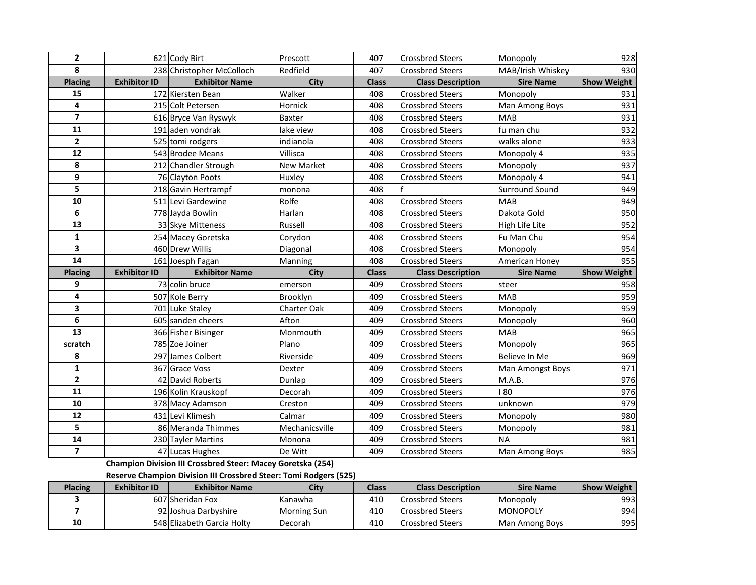| $\overline{2}$          |                     | 621 Cody Birt                         | Prescott          | 407          | <b>Crossbred Steers</b>  | Monopoly                    | 928                |
|-------------------------|---------------------|---------------------------------------|-------------------|--------------|--------------------------|-----------------------------|--------------------|
| 8                       |                     | 238 Christopher McColloch             | Redfield          | 407          | <b>Crossbred Steers</b>  | MAB/Irish Whiskey           | 930                |
| <b>Placing</b>          | <b>Exhibitor ID</b> | <b>Exhibitor Name</b>                 | <b>City</b>       | <b>Class</b> | <b>Class Description</b> | <b>Sire Name</b>            | <b>Show Weight</b> |
| 15                      |                     | 172 Kiersten Bean                     | Walker            | 408          | <b>Crossbred Steers</b>  | Monopoly                    | 931                |
| 4                       |                     | 215 Colt Petersen                     | Hornick           | 408          | <b>Crossbred Steers</b>  | Man Among Boys              | 931                |
| $\overline{\mathbf{z}}$ |                     | 616 Bryce Van Ryswyk                  | Baxter            | 408          | <b>Crossbred Steers</b>  | <b>MAB</b>                  | 931                |
| 11                      |                     | 191 aden vondrak                      | lake view         | 408          | <b>Crossbred Steers</b>  | fu man chu                  | 932                |
| $\overline{\mathbf{2}}$ |                     | 525 tomi rodgers                      | indianola         | 408          | <b>Crossbred Steers</b>  | walks alone                 | 933                |
| 12                      |                     | 543 Brodee Means                      | Villisca          | 408          | <b>Crossbred Steers</b>  | Monopoly 4                  | 935                |
| 8                       |                     | 212 Chandler Strough                  | <b>New Market</b> | 408          | <b>Crossbred Steers</b>  | Monopoly                    | 937                |
| 9                       |                     | 76 Clayton Poots                      | Huxley            | 408          | <b>Crossbred Steers</b>  | Monopoly 4                  | 941                |
| 5                       |                     | 218 Gavin Hertrampf                   | monona            | 408          |                          | <b>Surround Sound</b>       | 949                |
| 10                      |                     | 511 Levi Gardewine                    | Rolfe             | 408          | <b>Crossbred Steers</b>  | <b>MAB</b>                  | 949                |
| 6                       |                     | 778 Jayda Bowlin                      | Harlan            | 408          | <b>Crossbred Steers</b>  | Dakota Gold                 | 950                |
| 13                      |                     | 33 Skye Mitteness                     | Russell           | 408          | <b>Crossbred Steers</b>  | High Life Lite              | 952                |
| $\mathbf{1}$            |                     | 254 Macey Goretska                    | Corydon           | 408          | <b>Crossbred Steers</b>  | Fu Man Chu                  | 954                |
| 3                       |                     | 460 Drew Willis                       | Diagonal          | 408          | <b>Crossbred Steers</b>  | Monopoly                    | 954                |
| 14                      |                     | 161 Joesph Fagan                      |                   | 408          | <b>Crossbred Steers</b>  | American Honey              |                    |
|                         |                     |                                       | Manning           |              |                          |                             | 955                |
| <b>Placing</b>          | <b>Exhibitor ID</b> | <b>Exhibitor Name</b>                 | City              | <b>Class</b> | <b>Class Description</b> | <b>Sire Name</b>            | <b>Show Weight</b> |
| 9                       |                     | 73 colin bruce                        | emerson           | 409          | <b>Crossbred Steers</b>  | steer                       | 958                |
| 4                       |                     | 507 Kole Berry                        | Brooklyn          | 409          | <b>Crossbred Steers</b>  | <b>MAB</b>                  | 959                |
| 3                       |                     | 701 Luke Staley                       | Charter Oak       | 409          | <b>Crossbred Steers</b>  | Monopoly                    | 959                |
| 6                       |                     | 605 sanden cheers                     | Afton             | 409          | <b>Crossbred Steers</b>  | Monopoly                    | 960                |
| 13                      |                     | 366 Fisher Bisinger                   | Monmouth          | 409          | <b>Crossbred Steers</b>  | <b>MAB</b>                  | 965                |
| scratch                 |                     | 785 Zoe Joiner                        | Plano             | 409          | <b>Crossbred Steers</b>  | Monopoly                    | 965                |
| 8                       |                     | 297 James Colbert                     | Riverside         | 409          | <b>Crossbred Steers</b>  | Believe In Me               | 969                |
| $\mathbf{1}$            |                     | 367 Grace Voss                        | Dexter            | 409          | <b>Crossbred Steers</b>  | Man Amongst Boys            | 971                |
| $\overline{2}$          |                     | 42 David Roberts                      | Dunlap            | 409          | <b>Crossbred Steers</b>  | M.A.B.                      | 976                |
| 11                      |                     | 196 Kolin Krauskopf                   | Decorah           | 409          | <b>Crossbred Steers</b>  | 80                          | 976                |
| 10                      |                     | 378 Macy Adamson                      | Creston           | 409          | <b>Crossbred Steers</b>  | unknown                     | 979                |
| 12                      |                     | 431 Levi Klimesh                      | Calmar            | 409          | <b>Crossbred Steers</b>  | Monopoly                    | 980                |
| 5                       |                     | 86 Meranda Thimmes                    | Mechanicsville    | 409          | <b>Crossbred Steers</b>  | Monopoly                    | 981                |
| 14<br>$\overline{7}$    |                     | 230 Tayler Martins<br>47 Lucas Hughes | Monona            | 409          | <b>Crossbred Steers</b>  | <b>NA</b><br>Man Among Boys | 981<br>985         |

**Champion Division III Crossbred Steer: Macey Goretska (254)**

**Reserve Champion Division III Crossbred Steer: Tomi Rodgers (525)**

| <b>Placing</b> | <b>Exhibitor ID</b> | <b>Exhibitor Name</b>      | City               | Class | <b>Class Description</b> | <b>Sire Name</b> | <b>Show Weight</b> |
|----------------|---------------------|----------------------------|--------------------|-------|--------------------------|------------------|--------------------|
|                |                     | 607 Sheridan Fox           | Kanawha            | 410   | <b>Crossbred Steers</b>  | <b>Monopoly</b>  | 993                |
|                |                     | 92 Joshua Darbyshire       | <b>Morning Sun</b> | 410   | <b>Crossbred Steers</b>  | <b>MONOPOLY</b>  | 994                |
| 10             |                     | 548 Elizabeth Garcia Holty | Decorah            | 410   | <b>Crossbred Steers</b>  | Man Among Boys   | 995                |